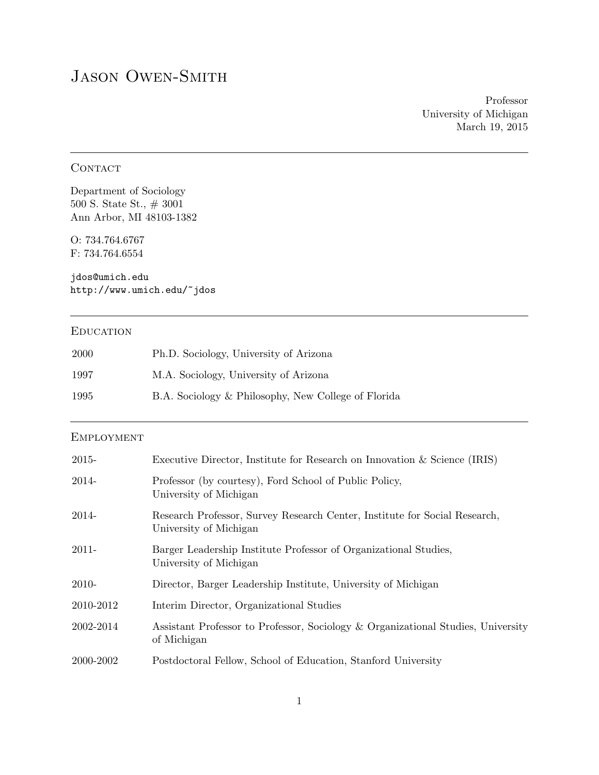# JASON OWEN-SMITH

Professor University of Michigan March 19, 2015

### **CONTACT**

Department of Sociology 500 S. State St., # 3001 Ann Arbor, MI 48103-1382

O: 734.764.6767 F: 734.764.6554

jdos@umich.edu http://www.umich.edu/~jdos

### **EDUCATION**

| 2000 | Ph.D. Sociology, University of Arizona              |
|------|-----------------------------------------------------|
| 1997 | M.A. Sociology, University of Arizona               |
| 1995 | B.A. Sociology & Philosophy, New College of Florida |

### **EMPLOYMENT**

| 2015-     | Executive Director, Institute for Research on Innovation & Science (IRIS)                            |
|-----------|------------------------------------------------------------------------------------------------------|
| 2014-     | Professor (by courtesy), Ford School of Public Policy,<br>University of Michigan                     |
| 2014-     | Research Professor, Survey Research Center, Institute for Social Research,<br>University of Michigan |
| 2011-     | Barger Leadership Institute Professor of Organizational Studies,<br>University of Michigan           |
| 2010-     | Director, Barger Leadership Institute, University of Michigan                                        |
| 2010-2012 | Interim Director, Organizational Studies                                                             |
| 2002-2014 | Assistant Professor to Professor, Sociology & Organizational Studies, University<br>of Michigan      |
| 2000-2002 | Postdoctoral Fellow, School of Education, Stanford University                                        |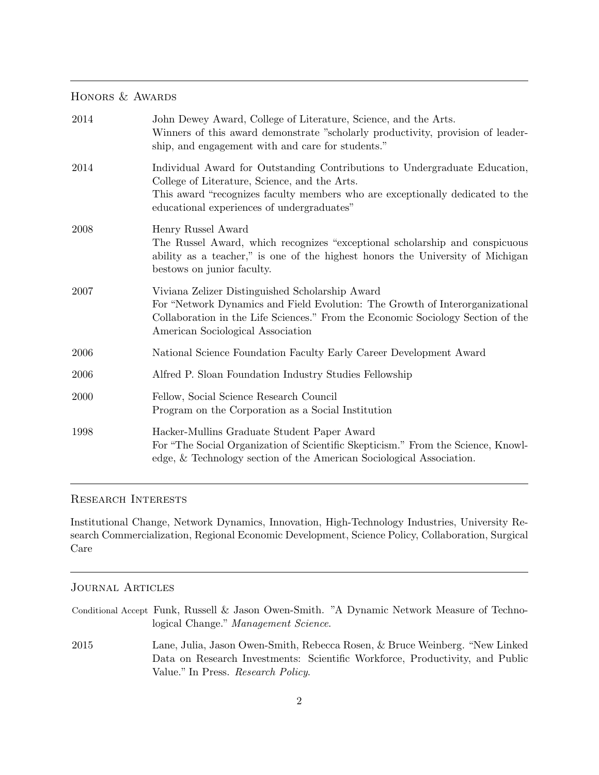### HONORS & AWARDS

| 2014 | John Dewey Award, College of Literature, Science, and the Arts.<br>Winners of this award demonstrate "scholarly productivity, provision of leader-<br>ship, and engagement with and care for students."                                                    |
|------|------------------------------------------------------------------------------------------------------------------------------------------------------------------------------------------------------------------------------------------------------------|
| 2014 | Individual Award for Outstanding Contributions to Undergraduate Education,<br>College of Literature, Science, and the Arts.<br>This award "recognizes faculty members who are exceptionally dedicated to the<br>educational experiences of undergraduates" |
| 2008 | Henry Russel Award<br>The Russel Award, which recognizes "exceptional scholarship and conspicuous<br>ability as a teacher," is one of the highest honors the University of Michigan<br>bestows on junior faculty.                                          |
| 2007 | Viviana Zelizer Distinguished Scholarship Award<br>For "Network Dynamics and Field Evolution: The Growth of Interorganizational<br>Collaboration in the Life Sciences." From the Economic Sociology Section of the<br>American Sociological Association    |
| 2006 | National Science Foundation Faculty Early Career Development Award                                                                                                                                                                                         |
| 2006 | Alfred P. Sloan Foundation Industry Studies Fellowship                                                                                                                                                                                                     |
| 2000 | Fellow, Social Science Research Council<br>Program on the Corporation as a Social Institution                                                                                                                                                              |
| 1998 | Hacker-Mullins Graduate Student Paper Award<br>For "The Social Organization of Scientific Skepticism." From the Science, Knowl-<br>edge, & Technology section of the American Sociological Association.                                                    |

### Research Interests

Institutional Change, Network Dynamics, Innovation, High-Technology Industries, University Research Commercialization, Regional Economic Development, Science Policy, Collaboration, Surgical Care

### Journal Articles

|      | Conditional Accept Funk, Russell & Jason Owen-Smith. "A Dynamic Network Measure of Techno-                                                                                                         |
|------|----------------------------------------------------------------------------------------------------------------------------------------------------------------------------------------------------|
|      | logical Change." Management Science.                                                                                                                                                               |
| 2015 | Lane, Julia, Jason Owen-Smith, Rebecca Rosen, & Bruce Weinberg. "New Linked"<br>Data on Research Investments: Scientific Workforce, Productivity, and Public<br>Value." In Press. Research Policy. |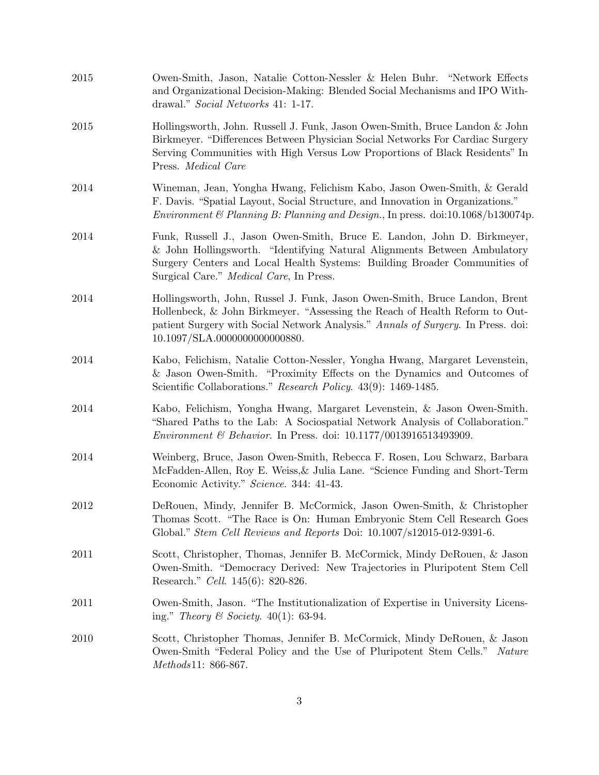| 2015 | Owen-Smith, Jason, Natalie Cotton-Nessler & Helen Buhr. "Network Effects<br>and Organizational Decision-Making: Blended Social Mechanisms and IPO With-<br>drawal." Social Networks 41: 1-17.                                                                                       |
|------|-------------------------------------------------------------------------------------------------------------------------------------------------------------------------------------------------------------------------------------------------------------------------------------|
| 2015 | Hollingsworth, John. Russell J. Funk, Jason Owen-Smith, Bruce Landon & John<br>Birkmeyer. "Differences Between Physician Social Networks For Cardiac Surgery<br>Serving Communities with High Versus Low Proportions of Black Residents" In<br>Press. Medical Care                  |
| 2014 | Wineman, Jean, Yongha Hwang, Felichism Kabo, Jason Owen-Smith, & Gerald<br>F. Davis. "Spatial Layout, Social Structure, and Innovation in Organizations."<br>Environment & Planning B: Planning and Design., In press. doi:10.1068/b130074p.                                        |
| 2014 | Funk, Russell J., Jason Owen-Smith, Bruce E. Landon, John D. Birkmeyer,<br>& John Hollingsworth. "Identifying Natural Alignments Between Ambulatory<br>Surgery Centers and Local Health Systems: Building Broader Communities of<br>Surgical Care." <i>Medical Care</i> , In Press. |
| 2014 | Hollingsworth, John, Russel J. Funk, Jason Owen-Smith, Bruce Landon, Brent<br>Hollenbeck, & John Birkmeyer. "Assessing the Reach of Health Reform to Out-<br>patient Surgery with Social Network Analysis." Annals of Surgery. In Press. doi:<br>10.1097/SLA.0000000000000880.      |
| 2014 | Kabo, Felichism, Natalie Cotton-Nessler, Yongha Hwang, Margaret Levenstein,<br>& Jason Owen-Smith. "Proximity Effects on the Dynamics and Outcomes of<br>Scientific Collaborations." Research Policy. 43(9): 1469-1485.                                                             |
| 2014 | Kabo, Felichism, Yongha Hwang, Margaret Levenstein, & Jason Owen-Smith.<br>"Shared Paths to the Lab: A Sociospatial Network Analysis of Collaboration."<br><i>Environment</i> & <i>Behavior</i> . In Press. doi: $10.1177/0013916513493909$ .                                       |
| 2014 | Weinberg, Bruce, Jason Owen-Smith, Rebecca F. Rosen, Lou Schwarz, Barbara<br>McFadden-Allen, Roy E. Weiss, & Julia Lane. "Science Funding and Short-Term<br>Economic Activity." Science. 344: 41-43.                                                                                |
| 2012 | DeRouen, Mindy, Jennifer B. McCormick, Jason Owen-Smith, & Christopher<br>Thomas Scott. "The Race is On: Human Embryonic Stem Cell Research Goes<br>Global." Stem Cell Reviews and Reports Doi: 10.1007/s12015-012-9391-6.                                                          |
| 2011 | Scott, Christopher, Thomas, Jennifer B. McCormick, Mindy DeRouen, & Jason<br>Owen-Smith. "Democracy Derived: New Trajectories in Pluripotent Stem Cell<br>Research." Cell. 145(6): 820-826.                                                                                         |
| 2011 | Owen-Smith, Jason. "The Institutionalization of Expertise in University Licens-<br>ing." Theory & Society. $40(1)$ : 63-94.                                                                                                                                                         |
| 2010 | Scott, Christopher Thomas, Jennifer B. McCormick, Mindy DeRouen, & Jason<br>Owen-Smith "Federal Policy and the Use of Pluripotent Stem Cells."<br><i>Nature</i><br>Methods11: 866-867.                                                                                              |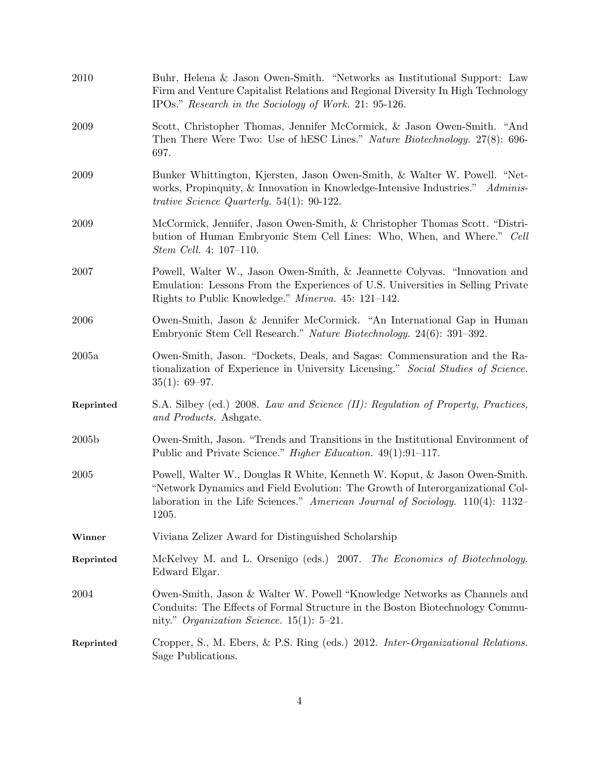| 2010      | Buhr, Helena & Jason Owen-Smith. "Networks as Institutional Support: Law<br>Firm and Venture Capitalist Relations and Regional Diversity In High Technology<br>IPOs." Research in the Sociology of Work. 21: 95-126.                                     |
|-----------|----------------------------------------------------------------------------------------------------------------------------------------------------------------------------------------------------------------------------------------------------------|
| 2009      | Scott, Christopher Thomas, Jennifer McCormick, & Jason Owen-Smith. "And<br>Then There Were Two: Use of hESC Lines." Nature Biotechnology. 27(8): 696-<br>697.                                                                                            |
| 2009      | Bunker Whittington, Kjersten, Jason Owen-Smith, & Walter W. Powell. "Net-<br>works, Propinquity, & Innovation in Knowledge-Intensive Industries." Adminis-<br><i>trative Science Quarterly.</i> 54(1): 90-122.                                           |
| 2009      | McCormick, Jennifer, Jason Owen-Smith, & Christopher Thomas Scott. "Distri-<br>bution of Human Embryonic Stem Cell Lines: Who, When, and Where." Cell<br><i>Stem Cell.</i> 4: 107-110.                                                                   |
| 2007      | Powell, Walter W., Jason Owen-Smith, & Jeannette Colyvas. "Innovation and<br>Emulation: Lessons From the Experiences of U.S. Universities in Selling Private<br>Rights to Public Knowledge." Minerva. 45: 121-142.                                       |
| 2006      | Owen-Smith, Jason & Jennifer McCormick. "An International Gap in Human<br>Embryonic Stem Cell Research." Nature Biotechnology. 24(6): 391-392.                                                                                                           |
| 2005a     | Owen-Smith, Jason. "Dockets, Deals, and Sagas: Commensuration and the Ra-<br>tionalization of Experience in University Licensing." Social Studies of Science.<br>$35(1): 69-97.$                                                                         |
| Reprinted | S.A. Silbey (ed.) 2008. Law and Science (II): Regulation of Property, Practices,<br>and Products. Ashgate.                                                                                                                                               |
| 2005b     | Owen-Smith, Jason. "Trends and Transitions in the Institutional Environment of<br>Public and Private Science." <i>Higher Education.</i> 49(1):91–117.                                                                                                    |
| 2005      | Powell, Walter W., Douglas R White, Kenneth W. Koput, & Jason Owen-Smith.<br>"Network Dynamics and Field Evolution: The Growth of Interorganizational Col-<br>laboration in the Life Sciences." American Journal of Sociology. $110(4)$ : 1132–<br>1205. |
| Winner    | Viviana Zelizer Award for Distinguished Scholarship                                                                                                                                                                                                      |
| Reprinted | McKelvey M. and L. Orsenigo (eds.) 2007. The Economics of Biotechnology.<br>Edward Elgar.                                                                                                                                                                |
| 2004      | Owen-Smith, Jason & Walter W. Powell "Knowledge Networks as Channels and<br>Conduits: The Effects of Formal Structure in the Boston Biotechnology Commu-<br>nity." Organization Science. 15(1): $5-21$ .                                                 |
| Reprinted | Cropper, S., M. Ebers, & P.S. Ring (eds.) 2012. Inter-Organizational Relations.<br>Sage Publications.                                                                                                                                                    |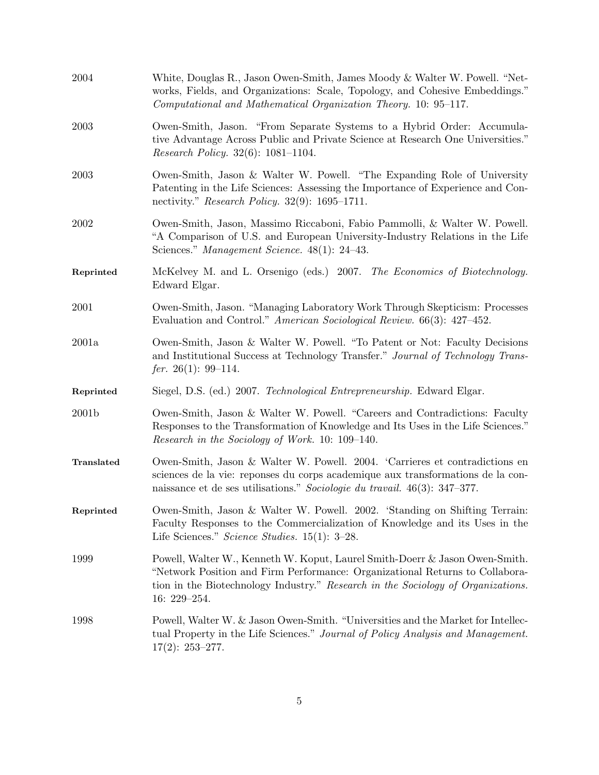| 2004       | White, Douglas R., Jason Owen-Smith, James Moody & Walter W. Powell. "Net-<br>works, Fields, and Organizations: Scale, Topology, and Cohesive Embeddings."<br>Computational and Mathematical Organization Theory. 10: 95-117.                                       |
|------------|---------------------------------------------------------------------------------------------------------------------------------------------------------------------------------------------------------------------------------------------------------------------|
| 2003       | Owen-Smith, Jason. "From Separate Systems to a Hybrid Order: Accumula-<br>tive Advantage Across Public and Private Science at Research One Universities."<br><i>Research Policy.</i> 32(6): 1081-1104.                                                              |
| 2003       | Owen-Smith, Jason & Walter W. Powell. "The Expanding Role of University<br>Patenting in the Life Sciences: Assessing the Importance of Experience and Con-<br>nectivity." Research Policy. $32(9)$ : 1695–1711.                                                     |
| 2002       | Owen-Smith, Jason, Massimo Riccaboni, Fabio Pammolli, & Walter W. Powell.<br>"A Comparison of U.S. and European University-Industry Relations in the Life<br>Sciences." Management Science. 48(1): 24-43.                                                           |
| Reprinted  | McKelvey M. and L. Orsenigo (eds.) 2007. The Economics of Biotechnology.<br>Edward Elgar.                                                                                                                                                                           |
| 2001       | Owen-Smith, Jason. "Managing Laboratory Work Through Skepticism: Processes<br>Evaluation and Control." American Sociological Review. 66(3): 427-452.                                                                                                                |
| 2001a      | Owen-Smith, Jason & Walter W. Powell. "To Patent or Not: Faculty Decisions<br>and Institutional Success at Technology Transfer." Journal of Technology Trans-<br>fer. 26(1): 99–114.                                                                                |
| Reprinted  | Siegel, D.S. (ed.) 2007. Technological Entrepreneurship. Edward Elgar.                                                                                                                                                                                              |
| 2001b      | Owen-Smith, Jason & Walter W. Powell. "Careers and Contradictions: Faculty<br>Responses to the Transformation of Knowledge and Its Uses in the Life Sciences."<br>Research in the Sociology of Work. 10: 109–140.                                                   |
| Translated | Owen-Smith, Jason & Walter W. Powell. 2004. 'Carrieres et contradictions en<br>sciences de la vie: reponses du corps academique aux transformations de la con-<br>naissance et de ses utilisations." Sociologie du travail. $46(3)$ : 347-377.                      |
| Reprinted  | Owen-Smith, Jason & Walter W. Powell. 2002. 'Standing on Shifting Terrain:<br>Faculty Responses to the Commercialization of Knowledge and its Uses in the<br>Life Sciences." Science Studies. $15(1)$ : 3-28.                                                       |
| 1999       | Powell, Walter W., Kenneth W. Koput, Laurel Smith-Doerr & Jason Owen-Smith.<br>"Network Position and Firm Performance: Organizational Returns to Collabora-<br>tion in the Biotechnology Industry." Research in the Sociology of Organizations.<br>$16: 229 - 254.$ |
| 1998       | Powell, Walter W. & Jason Owen-Smith. "Universities and the Market for Intellec-<br>tual Property in the Life Sciences." Journal of Policy Analysis and Management.<br>$17(2): 253 - 277.$                                                                          |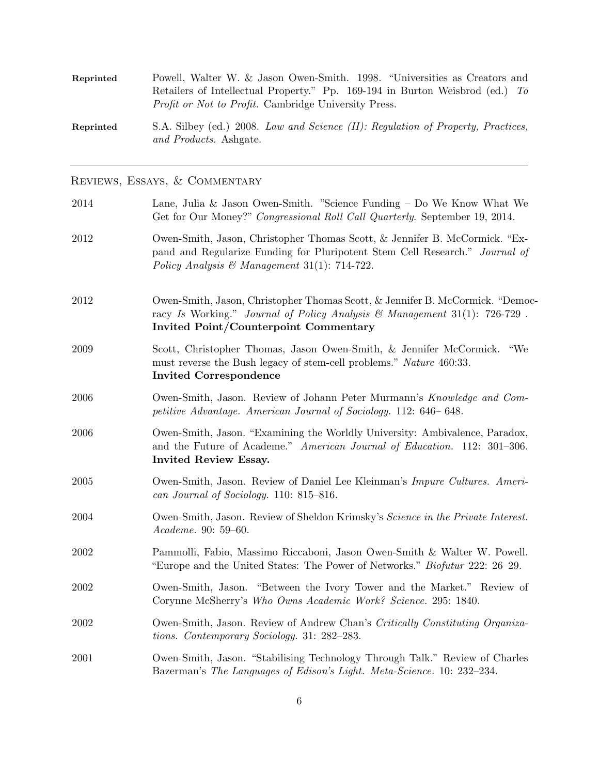| Reprinted | Powell, Walter W. & Jason Owen-Smith. 1998. "Universities as Creators and                                  |
|-----------|------------------------------------------------------------------------------------------------------------|
|           | Retailers of Intellectual Property." Pp. 169-194 in Burton Weisbrod (ed.) To                               |
|           | <i>Profit or Not to Profit.</i> Cambridge University Press.                                                |
| Reprinted | S.A. Silbey (ed.) 2008. Law and Science (II): Regulation of Property, Practices,<br>and Products. Ashgate. |

Reviews, Essays, & Commentary

| 2014 | Lane, Julia & Jason Owen-Smith. "Science Funding $-$ Do We Know What We<br>Get for Our Money?" Congressional Roll Call Quarterly. September 19, 2014.                                                      |
|------|------------------------------------------------------------------------------------------------------------------------------------------------------------------------------------------------------------|
| 2012 | Owen-Smith, Jason, Christopher Thomas Scott, & Jennifer B. McCormick. "Ex-<br>pand and Regularize Funding for Pluripotent Stem Cell Research." Journal of<br>Policy Analysis & Management 31(1): 714-722.  |
| 2012 | Owen-Smith, Jason, Christopher Thomas Scott, & Jennifer B. McCormick. "Democ-<br>racy Is Working." Journal of Policy Analysis & Management 31(1): 726-729.<br><b>Invited Point/Counterpoint Commentary</b> |
| 2009 | Scott, Christopher Thomas, Jason Owen-Smith, & Jennifer McCormick. "We<br>must reverse the Bush legacy of stem-cell problems." Nature 460:33.<br><b>Invited Correspondence</b>                             |
| 2006 | Owen-Smith, Jason. Review of Johann Peter Murmann's Knowledge and Com-<br>petitive Advantage. American Journal of Sociology. 112: 646–648.                                                                 |
| 2006 | Owen-Smith, Jason. "Examining the Worldly University: Ambivalence, Paradox,<br>and the Future of Academe." American Journal of Education. 112: 301-306.<br>Invited Review Essay.                           |
| 2005 | Owen-Smith, Jason. Review of Daniel Lee Kleinman's <i>Impure Cultures. Ameri-</i><br>can Journal of Sociology. 110: 815-816.                                                                               |
| 2004 | Owen-Smith, Jason. Review of Sheldon Krimsky's Science in the Private Interest.<br>Academe. 90: 59-60.                                                                                                     |
| 2002 | Pammolli, Fabio, Massimo Riccaboni, Jason Owen-Smith & Walter W. Powell.<br>"Europe and the United States: The Power of Networks." <i>Biofutur</i> 222: 26–29.                                             |
| 2002 | Owen-Smith, Jason. "Between the Ivory Tower and the Market." Review of<br>Corynne McSherry's Who Owns Academic Work? Science. 295: 1840.                                                                   |
| 2002 | Owen-Smith, Jason. Review of Andrew Chan's Critically Constituting Organiza-<br>tions. Contemporary Sociology. 31: 282–283.                                                                                |
| 2001 | Owen-Smith, Jason. "Stabilising Technology Through Talk." Review of Charles<br>Bazerman's The Languages of Edison's Light. Meta-Science. 10: 232-234.                                                      |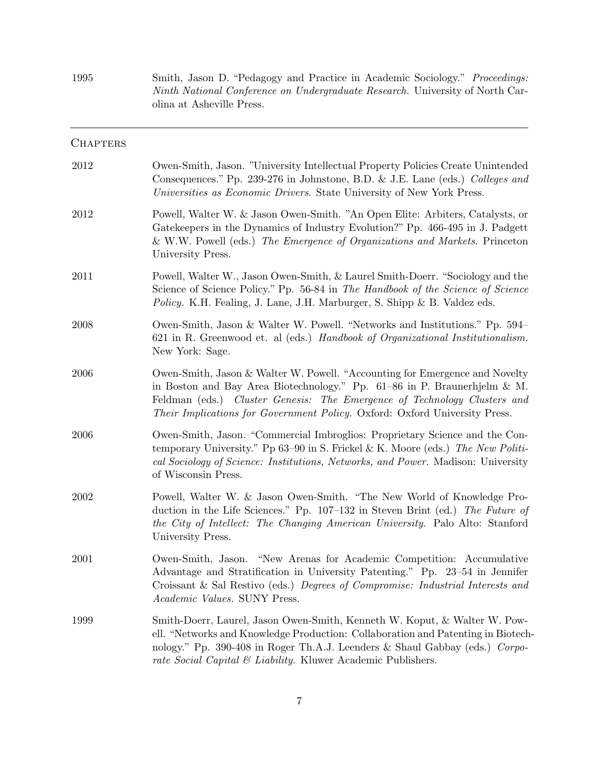1995 Smith, Jason D. "Pedagogy and Practice in Academic Sociology." Proceedings: Ninth National Conference on Undergraduate Research. University of North Carolina at Asheville Press.

| <b>CHAPTERS</b> |                                                                                                                                                                                                                                                                                                                     |
|-----------------|---------------------------------------------------------------------------------------------------------------------------------------------------------------------------------------------------------------------------------------------------------------------------------------------------------------------|
| 2012            | Owen-Smith, Jason. "University Intellectual Property Policies Create Unintended<br>Consequences." Pp. 239-276 in Johnstone, B.D. & J.E. Lane (eds.) Colleges and<br>Universities as Economic Drivers. State University of New York Press.                                                                           |
| 2012            | Powell, Walter W. & Jason Owen-Smith. "An Open Elite: Arbiters, Catalysts, or<br>Gatekeepers in the Dynamics of Industry Evolution?" Pp. 466-495 in J. Padgett<br>& W.W. Powell (eds.) The Emergence of Organizations and Markets. Princeton<br>University Press.                                                   |
| 2011            | Powell, Walter W., Jason Owen-Smith, & Laurel Smith-Doerr. "Sociology and the<br>Science of Science Policy." Pp. 56-84 in The Handbook of the Science of Science<br><i>Policy.</i> K.H. Fealing, J. Lane, J.H. Marburger, S. Shipp & B. Valdez eds.                                                                 |
| 2008            | Owen-Smith, Jason & Walter W. Powell. "Networks and Institutions." Pp. 594–<br>621 in R. Greenwood et. al (eds.) Handbook of Organizational Institutionalism.<br>New York: Sage.                                                                                                                                    |
| 2006            | Owen-Smith, Jason & Walter W. Powell. "Accounting for Emergence and Novelty<br>in Boston and Bay Area Biotechnology." Pp. $61-86$ in P. Braunerhjelm & M.<br>Feldman (eds.) Cluster Genesis: The Emergence of Technology Clusters and<br>Their Implications for Government Policy. Oxford: Oxford University Press. |
| 2006            | Owen-Smith, Jason. "Commercial Imbroglios: Proprietary Science and the Con-<br>temporary University." Pp 63–90 in S. Frickel & K. Moore (eds.) The New Politi-<br>cal Sociology of Science: Institutions, Networks, and Power. Madison: University<br>of Wisconsin Press.                                           |
| 2002            | Powell, Walter W. & Jason Owen-Smith. "The New World of Knowledge Pro-<br>duction in the Life Sciences." Pp. 107-132 in Steven Brint (ed.) The Future of<br>the City of Intellect: The Changing American University. Palo Alto: Stanford<br>University Press.                                                       |
| 2001            | Owen-Smith, Jason. "New Arenas for Academic Competition: Accumulative<br>Advantage and Stratification in University Patenting." Pp. 23-54 in Jennifer<br>Croissant & Sal Restivo (eds.) Degrees of Compromise: Industrial Interests and<br>Academic Values. SUNY Press.                                             |
| 1999            | Smith-Doerr, Laurel, Jason Owen-Smith, Kenneth W. Koput, & Walter W. Pow-<br>ell. "Networks and Knowledge Production: Collaboration and Patenting in Biotech-<br>nology." Pp. 390-408 in Roger Th.A.J. Leenders & Shaul Gabbay (eds.) Corpo-<br>rate Social Capital & Liability. Kluwer Academic Publishers.        |

7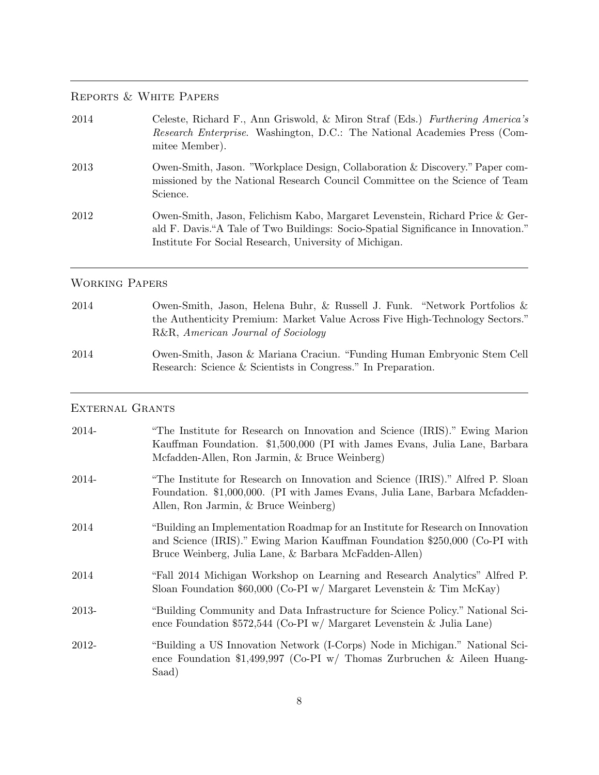## Reports & White Papers

| 2014 | Celeste, Richard F., Ann Griswold, & Miron Straf (Eds.) Furthering America's<br>Research Enterprise. Washington, D.C.: The National Academies Press (Com-<br>mitee Member).                                                 |
|------|-----------------------------------------------------------------------------------------------------------------------------------------------------------------------------------------------------------------------------|
| 2013 | Owen-Smith, Jason. "Workplace Design, Collaboration & Discovery." Paper com-<br>missioned by the National Research Council Committee on the Science of Team<br>Science.                                                     |
| 2012 | Owen-Smith, Jason, Felichism Kabo, Margaret Levenstein, Richard Price & Ger-<br>ald F. Davis."A Tale of Two Buildings: Socio-Spatial Significance in Innovation."<br>Institute For Social Research, University of Michigan. |

## Working Papers

| 2014 | Owen-Smith, Jason, Helena Buhr, & Russell J. Funk. "Network Portfolios $\&$                                                             |
|------|-----------------------------------------------------------------------------------------------------------------------------------------|
|      | the Authenticity Premium: Market Value Across Five High-Technology Sectors."                                                            |
|      | R&R, American Journal of Sociology                                                                                                      |
| 2014 | Owen-Smith, Jason & Mariana Craciun. "Funding Human Embryonic Stem Cell<br>Research: Science & Scientists in Congress." In Preparation. |

## External Grants

| 2014- | "The Institute for Research on Innovation and Science (IRIS)." Ewing Marion<br>Kauffman Foundation. \$1,500,000 (PI with James Evans, Julia Lane, Barbara<br>Mcfadden-Allen, Ron Jarmin, & Bruce Weinberg)              |
|-------|-------------------------------------------------------------------------------------------------------------------------------------------------------------------------------------------------------------------------|
| 2014- | "The Institute for Research on Innovation and Science (IRIS)." Alfred P. Sloan<br>Foundation. \$1,000,000. (PI with James Evans, Julia Lane, Barbara Mcfadden-<br>Allen, Ron Jarmin, & Bruce Weinberg)                  |
| 2014  | "Building an Implementation Roadmap for an Institute for Research on Innovation<br>and Science (IRIS)." Ewing Marion Kauffman Foundation \$250,000 (Co-PI with<br>Bruce Weinberg, Julia Lane, & Barbara McFadden-Allen) |
| 2014  | "Fall 2014 Michigan Workshop on Learning and Research Analytics" Alfred P.<br>Sloan Foundation \$60,000 (Co-PI w/ Margaret Levenstein & Tim McKay)                                                                      |
| 2013- | "Building Community and Data Infrastructure for Science Policy." National Sci-<br>ence Foundation \$572,544 (Co-PI w/ Margaret Levenstein & Julia Lane)                                                                 |
| 2012- | "Building a US Innovation Network (I-Corps) Node in Michigan." National Sci-<br>ence Foundation \$1,499,997 (Co-PI w/ Thomas Zurbruchen & Aileen Huang-<br>Saad)                                                        |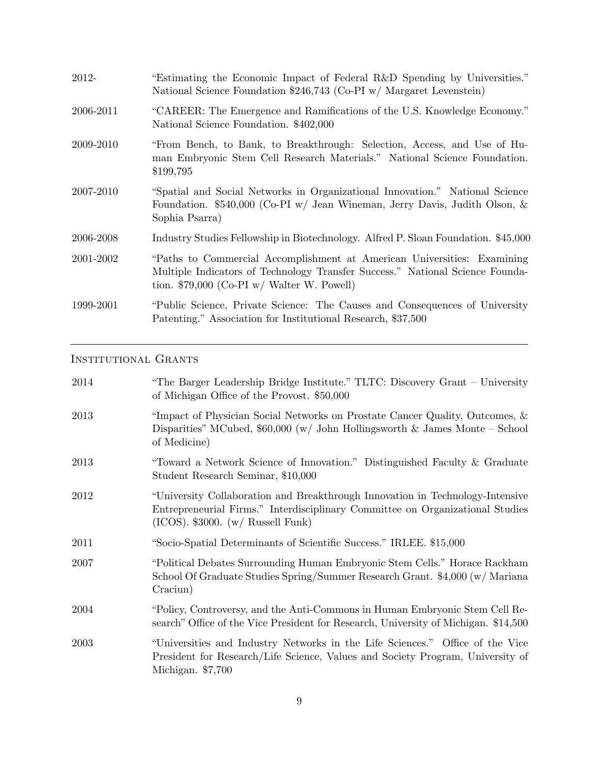| 2012-     | "Estimating the Economic Impact of Federal R&D Spending by Universities."<br>National Science Foundation \$246,743 (Co-PI w/ Margaret Levenstein)                                                        |
|-----------|----------------------------------------------------------------------------------------------------------------------------------------------------------------------------------------------------------|
| 2006-2011 | "CAREER: The Emergence and Ramifications of the U.S. Knowledge Economy."<br>National Science Foundation. \$402,000                                                                                       |
| 2009-2010 | "From Bench, to Bank, to Breakthrough: Selection, Access, and Use of Hu-<br>man Embryonic Stem Cell Research Materials." National Science Foundation.<br>\$199,795                                       |
| 2007-2010 | "Spatial and Social Networks in Organizational Innovation." National Science<br>Foundation. \$540,000 (Co-PI w/ Jean Wineman, Jerry Davis, Judith Olson, &<br>Sophia Psarra)                             |
| 2006-2008 | Industry Studies Fellowship in Biotechnology. Alfred P. Sloan Foundation. \$45,000                                                                                                                       |
| 2001-2002 | "Paths to Commercial Accomplishment at American Universities: Examining<br>Multiple Indicators of Technology Transfer Success." National Science Founda-<br>tion. \$79,000 (Co-PI $w/$ Walter W. Powell) |
| 1999-2001 | "Public Science, Private Science: The Causes and Consequences of University<br>Patenting." Association for Institutional Research, \$37,500                                                              |

## INSTITUTIONAL GRANTS

| 2014 | "The Barger Leadership Bridge Institute." TLTC: Discovery Grant – University<br>of Michigan Office of the Provost. \$50,000                                                                                       |
|------|-------------------------------------------------------------------------------------------------------------------------------------------------------------------------------------------------------------------|
| 2013 | "Impact of Physician Social Networks on Prostate Cancer Quality, Outcomes, &<br>Disparities" MCubed, $$60,000$ (w/ John Hollingsworth & James Monte - School<br>of Medicine)                                      |
| 2013 | "Toward a Network Science of Innovation." Distinguished Faculty & Graduate<br>Student Research Seminar, \$10,000                                                                                                  |
| 2012 | "University Collaboration and Breakthrough Innovation in Technology-Intensive<br>Entrepreneurial Firms." Interdisciplinary Committee on Organizational Studies<br>$(ICOS)$ . \$3000. $(w / \text{ Russell Funk})$ |
| 2011 | "Socio-Spatial Determinants of Scientific Success." IRLEE. \$15,000                                                                                                                                               |
| 2007 | "Political Debates Surrounding Human Embryonic Stem Cells." Horace Rackham<br>School Of Graduate Studies Spring/Summer Research Grant. \$4,000 (w/ Mariana<br>Cracium)                                            |
| 2004 | "Policy, Controversy, and the Anti-Commons in Human Embryonic Stem Cell Re-<br>search" Office of the Vice President for Research, University of Michigan. \$14,500                                                |
| 2003 | "Universities and Industry Networks in the Life Sciences." Office of the Vice<br>President for Research/Life Science, Values and Society Program, University of<br>Michigan. \$7,700                              |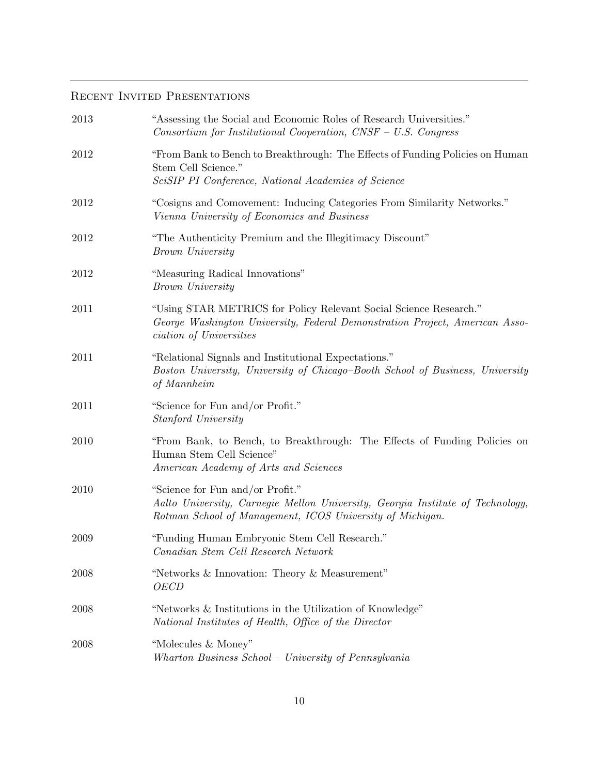## RECENT INVITED PRESENTATIONS

| 2013     | "Assessing the Social and Economic Roles of Research Universities."<br>Consortium for Institutional Cooperation, $CNSF - U.S.$ Congress                                            |
|----------|------------------------------------------------------------------------------------------------------------------------------------------------------------------------------------|
| 2012     | "From Bank to Bench to Breakthrough: The Effects of Funding Policies on Human<br>Stem Cell Science."<br>SciSIP PI Conference, National Academies of Science                        |
| 2012     | "Cosigns and Comovement: Inducing Categories From Similarity Networks."<br>Vienna University of Economics and Business                                                             |
| 2012     | "The Authenticity Premium and the Illegitimacy Discount"<br>Brown University                                                                                                       |
| 2012     | "Measuring Radical Innovations"<br>Brown University                                                                                                                                |
| 2011     | "Using STAR METRICS for Policy Relevant Social Science Research."<br>George Washington University, Federal Demonstration Project, American Asso-<br><i>ciation of Universities</i> |
| 2011     | "Relational Signals and Institutional Expectations."<br>Boston University, University of Chicago-Booth School of Business, University<br>of Mannheim                               |
| 2011     | "Science for Fun and/or Profit."<br>Stanford University                                                                                                                            |
| 2010     | "From Bank, to Bench, to Breakthrough: The Effects of Funding Policies on<br>Human Stem Cell Science"<br>American Academy of Arts and Sciences                                     |
| 2010     | "Science for Fun and/or Profit."<br>Aalto University, Carnegie Mellon University, Georgia Institute of Technology,<br>Rotman School of Management, ICOS University of Michigan.    |
| 2009     | "Funding Human Embryonic Stem Cell Research."<br>Canadian Stem Cell Research Network                                                                                               |
| 2008     | "Networks & Innovation: Theory & Measurement"<br><i>OECD</i>                                                                                                                       |
| 2008     | "Networks & Institutions in the Utilization of Knowledge"<br>National Institutes of Health, Office of the Director                                                                 |
| $2008\,$ | "Molecules & Money"<br>Wharton Business School - University of Pennsylvania                                                                                                        |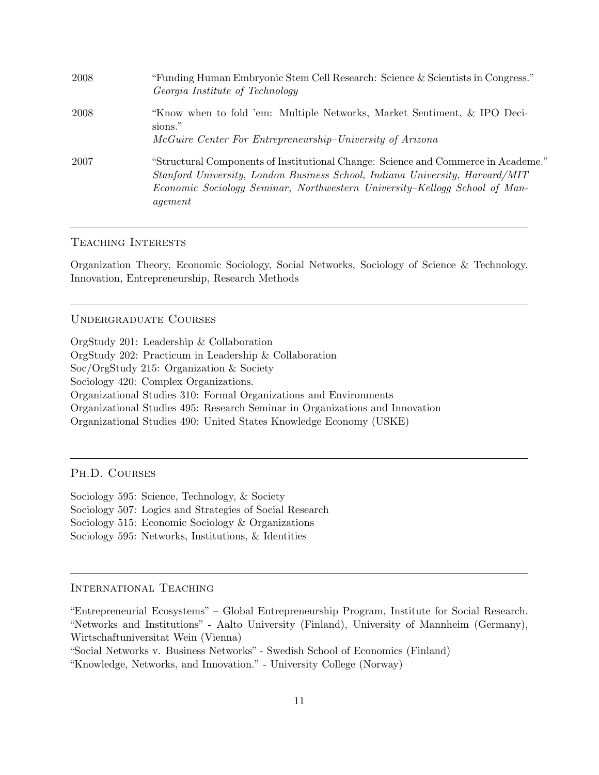| 2008 | "Funding Human Embryonic Stem Cell Research: Science & Scientists in Congress."<br>Georgia Institute of Technology                                                                                                                                         |
|------|------------------------------------------------------------------------------------------------------------------------------------------------------------------------------------------------------------------------------------------------------------|
| 2008 | "Know when to fold 'em: Multiple Networks, Market Sentiment, & IPO Deci-<br>sions."<br>McGuire Center For Entrepreneurship-University of Arizona                                                                                                           |
| 2007 | "Structural Components of Institutional Change: Science and Commerce in Academe."<br>Stanford University, London Business School, Indiana University, Harvard/MIT<br>Economic Sociology Seminar, Northwestern University-Kellogg School of Man-<br>agement |

### Teaching Interests

Organization Theory, Economic Sociology, Social Networks, Sociology of Science & Technology, Innovation, Entrepreneurship, Research Methods

#### Undergraduate Courses

OrgStudy 201: Leadership & Collaboration OrgStudy 202: Practicum in Leadership & Collaboration Soc/OrgStudy 215: Organization & Society Sociology 420: Complex Organizations. Organizational Studies 310: Formal Organizations and Environments Organizational Studies 495: Research Seminar in Organizations and Innovation Organizational Studies 490: United States Knowledge Economy (USKE)

Ph.D. Courses

Sociology 595: Science, Technology, & Society Sociology 507: Logics and Strategies of Social Research Sociology 515: Economic Sociology & Organizations Sociology 595: Networks, Institutions, & Identities

### International Teaching

<sup>&</sup>quot;Entrepreneurial Ecosystems" – Global Entrepreneurship Program, Institute for Social Research. "Networks and Institutions" - Aalto University (Finland), University of Mannheim (Germany), Wirtschaftuniversitat Wein (Vienna)

<sup>&</sup>quot;Social Networks v. Business Networks" - Swedish School of Economics (Finland)

<sup>&</sup>quot;Knowledge, Networks, and Innovation." - University College (Norway)